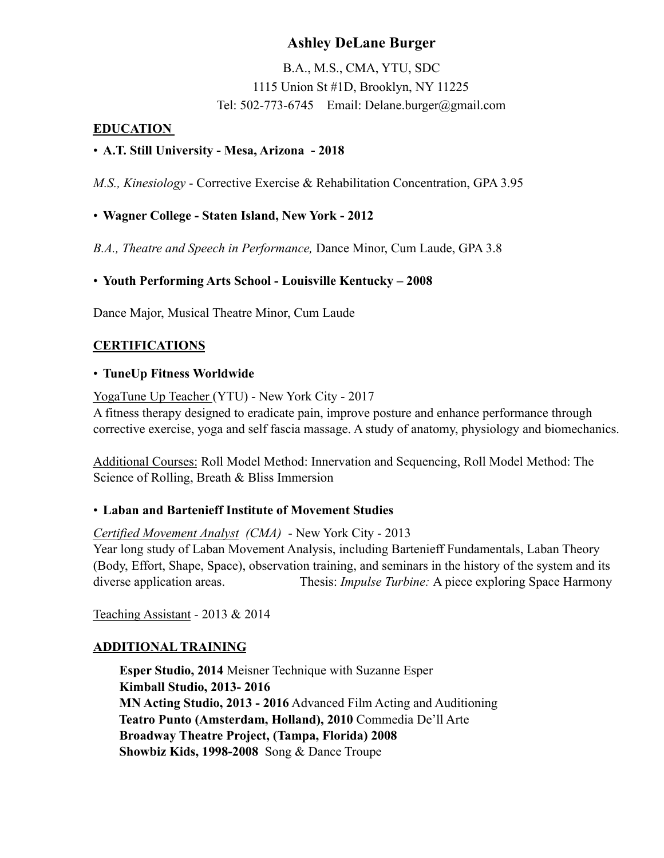# **Ashley DeLane Burger**

B.A., M.S., CMA, YTU, SDC 1115 Union St #1D, Brooklyn, NY 11225 Tel: 502-773-6745 Email: Delane.burger@gmail.com

#### **EDUCATION**

#### • **A.T. Still University - Mesa, Arizona - 2018**

*M.S., Kinesiology* - Corrective Exercise & Rehabilitation Concentration, GPA 3.95

• **Wagner College - Staten Island, New York - 2012** 

*B.A., Theatre and Speech in Performance,* Dance Minor, Cum Laude, GPA 3.8

## • **Youth Performing Arts School - Louisville Kentucky – 2008**

Dance Major, Musical Theatre Minor, Cum Laude

## **CERTIFICATIONS**

#### • **TuneUp Fitness Worldwide**

YogaTune Up Teacher (YTU) - New York City - 2017

A fitness therapy designed to eradicate pain, improve posture and enhance performance through corrective exercise, yoga and self fascia massage. A study of anatomy, physiology and biomechanics.

Additional Courses: Roll Model Method: Innervation and Sequencing, Roll Model Method: The Science of Rolling, Breath & Bliss Immersion

## • **Laban and Bartenieff Institute of Movement Studies**

*Certified Movement Analyst (CMA)* - New York City - 2013 Year long study of Laban Movement Analysis, including Bartenieff Fundamentals, Laban Theory (Body, Effort, Shape, Space), observation training, and seminars in the history of the system and its diverse application areas. Thesis: *Impulse Turbine:* A piece exploring Space Harmony

Teaching Assistant *-* 2013 & 2014

## **ADDITIONAL TRAINING**

 **Esper Studio, 2014** Meisner Technique with Suzanne Esper  **Kimball Studio, 2013- 2016 MN Acting Studio, 2013 - 2016** Advanced Film Acting and Auditioning  **Teatro Punto (Amsterdam, Holland), 2010** Commedia De'll Arte **Broadway Theatre Project, (Tampa, Florida) 2008 Showbiz Kids, 1998-2008** Song & Dance Troupe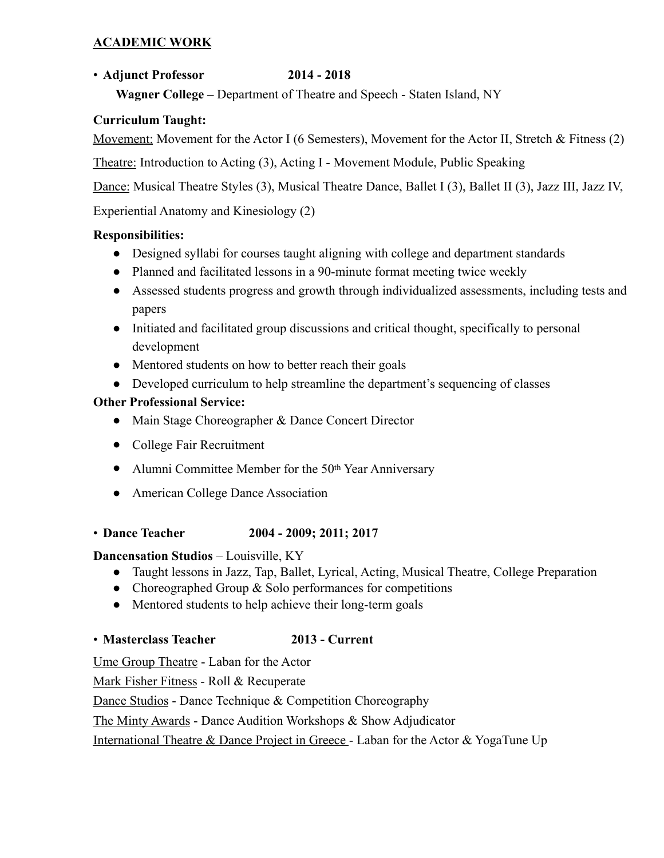# **ACADEMIC WORK**

# • **Adjunct Professor 2014 - 2018**

 **Wagner College –** Department of Theatre and Speech - Staten Island, NY

# **Curriculum Taught:**

Movement: Movement for the Actor I (6 Semesters), Movement for the Actor II, Stretch & Fitness (2)

Theatre: Introduction to Acting (3), Acting I - Movement Module, Public Speaking

Dance: Musical Theatre Styles (3), Musical Theatre Dance, Ballet I (3), Ballet II (3), Jazz III, Jazz IV,

Experiential Anatomy and Kinesiology (2)

# **Responsibilities:**

- Designed syllabi for courses taught aligning with college and department standards
- Planned and facilitated lessons in a 90-minute format meeting twice weekly
- Assessed students progress and growth through individualized assessments, including tests and papers
- Initiated and facilitated group discussions and critical thought, specifically to personal development
- Mentored students on how to better reach their goals
- Developed curriculum to help streamline the department's sequencing of classes

# **Other Professional Service:**

- Main Stage Choreographer & Dance Concert Director
- College Fair Recruitment
- Alumni Committee Member for the 50<sup>th</sup> Year Anniversary
- American College Dance Association
- **Dance Teacher 2004 2009; 2011; 2017**

## **Dancensation Studios** – Louisville, KY

- Taught lessons in Jazz, Tap, Ballet, Lyrical, Acting, Musical Theatre, College Preparation
- Choreographed Group & Solo performances for competitions
- Mentored students to help achieve their long-term goals

## • **Masterclass Teacher 2013 - Current**

Ume Group Theatre - Laban for the Actor

Mark Fisher Fitness - Roll & Recuperate

Dance Studios - Dance Technique & Competition Choreography

The Minty Awards - Dance Audition Workshops & Show Adjudicator

International Theatre & Dance Project in Greece - Laban for the Actor & YogaTune Up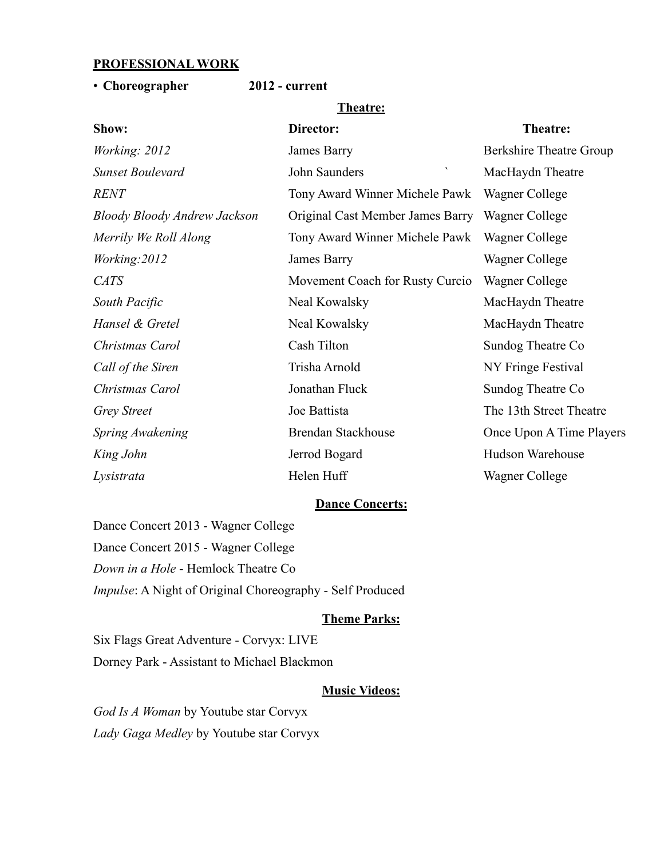#### **PROFESSIONAL WORK**

#### • **Choreographer 2012 - current**

#### **Theatre:**

| Show:                        | Director:                             | Theatre:                       |
|------------------------------|---------------------------------------|--------------------------------|
| <i>Working: 2012</i>         | James Barry                           | <b>Berkshire Theatre Group</b> |
| <b>Sunset Boulevard</b>      | $\blacktriangledown$<br>John Saunders | MacHaydn Theatre               |
| <b>RENT</b>                  | Tony Award Winner Michele Pawk        | Wagner College                 |
| Bloody Bloody Andrew Jackson | Original Cast Member James Barry      | Wagner College                 |
| Merrily We Roll Along        | Tony Award Winner Michele Pawk        | Wagner College                 |
| Working: 2012                | James Barry                           | Wagner College                 |
| <b>CATS</b>                  | Movement Coach for Rusty Curcio       | Wagner College                 |
| South Pacific                | Neal Kowalsky                         | MacHaydn Theatre               |
| Hansel & Gretel              | Neal Kowalsky                         | MacHaydn Theatre               |
| Christmas Carol              | Cash Tilton                           | Sundog Theatre Co              |
| Call of the Siren            | Trisha Arnold                         | NY Fringe Festival             |
| Christmas Carol              | Jonathan Fluck                        | Sundog Theatre Co              |
| <b>Grey Street</b>           | Joe Battista                          | The 13th Street Theatre        |
| Spring Awakening             | <b>Brendan Stackhouse</b>             | Once Upon A Time Players       |
| King John                    | Jerrod Bogard                         | Hudson Warehouse               |
| Lysistrata                   | Helen Huff                            | Wagner College                 |
|                              |                                       |                                |

#### **Dance Concerts:**

Dance Concert 2013 - Wagner College Dance Concert 2015 - Wagner College *Down in a Hole* - Hemlock Theatre Co *Impulse*: A Night of Original Choreography - Self Produced

#### **Theme Parks:**

Six Flags Great Adventure - Corvyx: LIVE Dorney Park - Assistant to Michael Blackmon

#### **Music Videos:**

*God Is A Woman* by Youtube star Corvyx *Lady Gaga Medley* by Youtube star Corvyx